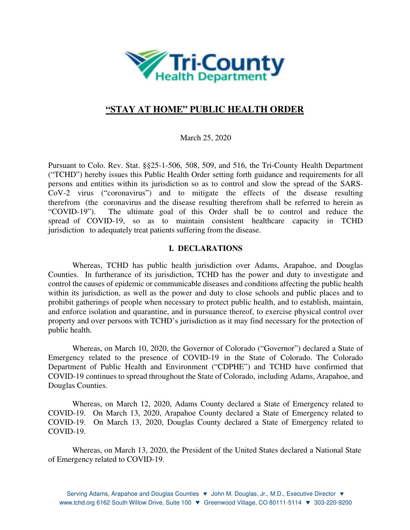

# **"STAY AT HOME" PUBLIC HEALTH ORDER**

March 25, 2020

Pursuant to Colo. Rev. Stat. §§25-1-506, 508, 509, and 516, the Tri-County Health Department ("TCHD") hereby issues this Public Health Order setting forth guidance and requirements for all persons and entities within its jurisdiction so as to control and slow the spread of the SARS-CoV-2 virus ("coronavirus") and to mitigate the effects of the disease resulting therefrom (the coronavirus and the disease resulting therefrom shall be referred to herein as "COVID-19"). The ultimate goal of this Order shall be to control and reduce the spread of COVID-19, so as to maintain consistent healthcare capacity in TCHD jurisdiction to adequately treat patients suffering from the disease.

### **I. DECLARATIONS**

Whereas, TCHD has public health jurisdiction over Adams, Arapahoe, and Douglas Counties. In furtherance of its jurisdiction, TCHD has the power and duty to investigate and control the causes of epidemic or communicable diseases and conditions affecting the public health within its jurisdiction, as well as the power and duty to close schools and public places and to prohibit gatherings of people when necessary to protect public health, and to establish, maintain, and enforce isolation and quarantine, and in pursuance thereof, to exercise physical control over property and over persons with TCHD's jurisdiction as it may find necessary for the protection of public health.

Whereas, on March 10, 2020, the Governor of Colorado ("Governor") declared a State of Emergency related to the presence of COVID-19 in the State of Colorado. The Colorado Department of Public Health and Environment ("CDPHE") and TCHD have confirmed that COVID-19 continues to spread throughout the State of Colorado, including Adams, Arapahoe, and Douglas Counties.

Whereas, on March 12, 2020, Adams County declared a State of Emergency related to COVID-19. On March 13, 2020, Arapahoe County declared a State of Emergency related to COVID-19. On March 13, 2020, Douglas County declared a State of Emergency related to COVID-19.

Whereas, on March 13, 2020, the President of the United States declared a National State of Emergency related to COVID-19.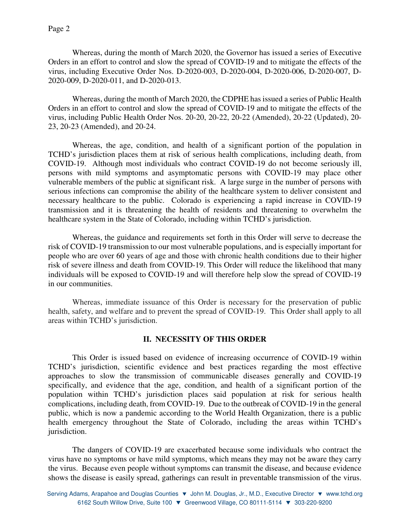Whereas, during the month of March 2020, the Governor has issued a series of Executive Orders in an effort to control and slow the spread of COVID-19 and to mitigate the effects of the virus, including Executive Order Nos. D-2020-003, D-2020-004, D-2020-006, D-2020-007, D-2020-009, D-2020-011, and D-2020-013.

Whereas, during the month of March 2020, the CDPHE has issued a series of Public Health Orders in an effort to control and slow the spread of COVID-19 and to mitigate the effects of the virus, including Public Health Order Nos. 20-20, 20-22, 20-22 (Amended), 20-22 (Updated), 20- 23, 20-23 (Amended), and 20-24.

Whereas, the age, condition, and health of a significant portion of the population in TCHD's jurisdiction places them at risk of serious health complications, including death, from COVID-19. Although most individuals who contract COVID-19 do not become seriously ill, persons with mild symptoms and asymptomatic persons with COVID-19 may place other vulnerable members of the public at significant risk. A large surge in the number of persons with serious infections can compromise the ability of the healthcare system to deliver consistent and necessary healthcare to the public. Colorado is experiencing a rapid increase in COVID-19 transmission and it is threatening the health of residents and threatening to overwhelm the healthcare system in the State of Colorado, including within TCHD's jurisdiction.

Whereas, the guidance and requirements set forth in this Order will serve to decrease the risk of COVID-19 transmission to our most vulnerable populations, and is especially important for people who are over 60 years of age and those with chronic health conditions due to their higher risk of severe illness and death from COVID-19. This Order will reduce the likelihood that many individuals will be exposed to COVID-19 and will therefore help slow the spread of COVID-19 in our communities.

Whereas, immediate issuance of this Order is necessary for the preservation of public health, safety, and welfare and to prevent the spread of COVID-19. This Order shall apply to all areas within TCHD's jurisdiction.

## **II. NECESSITY OF THIS ORDER**

This Order is issued based on evidence of increasing occurrence of COVID-19 within TCHD's jurisdiction, scientific evidence and best practices regarding the most effective approaches to slow the transmission of communicable diseases generally and COVID-19 specifically, and evidence that the age, condition, and health of a significant portion of the population within TCHD's jurisdiction places said population at risk for serious health complications, including death, from COVID-19. Due to the outbreak of COVID-19 in the general public, which is now a pandemic according to the World Health Organization, there is a public health emergency throughout the State of Colorado, including the areas within TCHD's jurisdiction.

The dangers of COVID-19 are exacerbated because some individuals who contract the virus have no symptoms or have mild symptoms, which means they may not be aware they carry the virus. Because even people without symptoms can transmit the disease, and because evidence shows the disease is easily spread, gatherings can result in preventable transmission of the virus.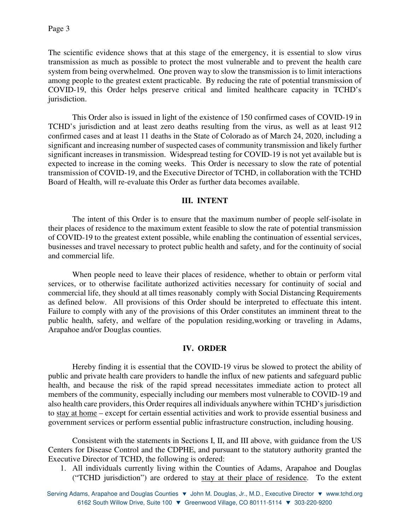The scientific evidence shows that at this stage of the emergency, it is essential to slow virus transmission as much as possible to protect the most vulnerable and to prevent the health care system from being overwhelmed. One proven way to slow the transmission is to limit interactions among people to the greatest extent practicable. By reducing the rate of potential transmission of COVID-19, this Order helps preserve critical and limited healthcare capacity in TCHD's jurisdiction.

This Order also is issued in light of the existence of 150 confirmed cases of COVID-19 in TCHD's jurisdiction and at least zero deaths resulting from the virus, as well as at least 912 confirmed cases and at least 11 deaths in the State of Colorado as of March 24, 2020, including a significant and increasing number of suspected cases of community transmission and likely further significant increases in transmission. Widespread testing for COVID-19 is not yet available but is expected to increase in the coming weeks. This Order is necessary to slow the rate of potential transmission of COVID-19, and the Executive Director of TCHD, in collaboration with the TCHD Board of Health, will re-evaluate this Order as further data becomes available.

#### **III. INTENT**

The intent of this Order is to ensure that the maximum number of people self-isolate in their places of residence to the maximum extent feasible to slow the rate of potential transmission of COVID-19 to the greatest extent possible, while enabling the continuation of essential services, businesses and travel necessary to protect public health and safety, and for the continuity of social and commercial life.

When people need to leave their places of residence, whether to obtain or perform vital services, or to otherwise facilitate authorized activities necessary for continuity of social and commercial life, they should at all times reasonably comply with Social Distancing Requirements as defined below. All provisions of this Order should be interpreted to effectuate this intent. Failure to comply with any of the provisions of this Order constitutes an imminent threat to the public health, safety, and welfare of the population residing,working or traveling in Adams, Arapahoe and/or Douglas counties.

#### **IV. ORDER**

Hereby finding it is essential that the COVID-19 virus be slowed to protect the ability of public and private health care providers to handle the influx of new patients and safeguard public health, and because the risk of the rapid spread necessitates immediate action to protect all members of the community, especially including our members most vulnerable to COVID-19 and also health care providers, this Order requires all individuals anywhere within TCHD's jurisdiction to stay at home – except for certain essential activities and work to provide essential business and government services or perform essential public infrastructure construction, including housing.

Consistent with the statements in Sections I, II, and III above, with guidance from the US Centers for Disease Control and the CDPHE, and pursuant to the statutory authority granted the Executive Director of TCHD, the following is ordered:

1. All individuals currently living within the Counties of Adams, Arapahoe and Douglas ("TCHD jurisdiction") are ordered to stay at their place of residence. To the extent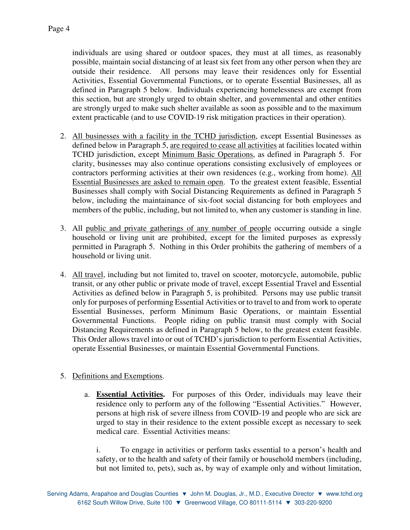individuals are using shared or outdoor spaces, they must at all times, as reasonably possible, maintain social distancing of at least six feet from any other person when they are outside their residence. All persons may leave their residences only for Essential Activities, Essential Governmental Functions, or to operate Essential Businesses, all as defined in Paragraph 5 below. Individuals experiencing homelessness are exempt from this section, but are strongly urged to obtain shelter, and governmental and other entities are strongly urged to make such shelter available as soon as possible and to the maximum extent practicable (and to use COVID-19 risk mitigation practices in their operation).

- 2. All businesses with a facility in the TCHD jurisdiction, except Essential Businesses as defined below in Paragraph 5, are required to cease all activities at facilities located within TCHD jurisdiction, except Minimum Basic Operations, as defined in Paragraph 5. For clarity, businesses may also continue operations consisting exclusively of employees or contractors performing activities at their own residences (e.g., working from home). All Essential Businesses are asked to remain open. To the greatest extent feasible, Essential Businesses shall comply with Social Distancing Requirements as defined in Paragraph 5 below, including the maintainance of six-foot social distancing for both employees and members of the public, including, but not limited to, when any customer is standing in line.
- 3. All public and private gatherings of any number of people occurring outside a single household or living unit are prohibited, except for the limited purposes as expressly permitted in Paragraph 5. Nothing in this Order prohibits the gathering of members of a household or living unit.
- 4. All travel, including but not limited to, travel on scooter, motorcycle, automobile, public transit, or any other public or private mode of travel, except Essential Travel and Essential Activities as defined below in Paragraph 5, is prohibited. Persons may use public transit only for purposes of performing Essential Activities or to travel to and from work to operate Essential Businesses, perform Minimum Basic Operations, or maintain Essential Governmental Functions. People riding on public transit must comply with Social Distancing Requirements as defined in Paragraph 5 below, to the greatest extent feasible. This Order allows travel into or out of TCHD's jurisdiction to perform Essential Activities, operate Essential Businesses, or maintain Essential Governmental Functions.

## 5. Definitions and Exemptions.

a. **Essential Activities.** For purposes of this Order, individuals may leave their residence only to perform any of the following "Essential Activities." However, persons at high risk of severe illness from COVID-19 and people who are sick are urged to stay in their residence to the extent possible except as necessary to seek medical care. Essential Activities means:

i. To engage in activities or perform tasks essential to a person's health and safety, or to the health and safety of their family or household members (including, but not limited to, pets), such as, by way of example only and without limitation,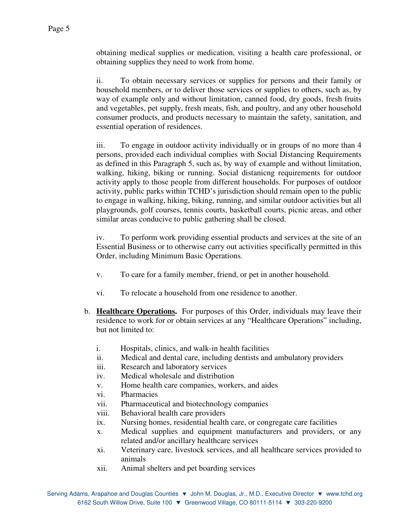obtaining medical supplies or medication, visiting a health care professional, or obtaining supplies they need to work from home.

ii. To obtain necessary services or supplies for persons and their family or household members, or to deliver those services or supplies to others, such as, by way of example only and without limitation, canned food, dry goods, fresh fruits and vegetables, pet supply, fresh meats, fish, and poultry, and any other household consumer products, and products necessary to maintain the safety, sanitation, and essential operation of residences.

iii. To engage in outdoor activity individually or in groups of no more than 4 persons, provided each individual complies with Social Distancing Requirements as defined in this Paragraph 5, such as, by way of example and without limitation, walking, hiking, biking or running. Social distanicng requirements for outdoor activity apply to those people from different households. For purposes of outdoor activity, public parks within TCHD's jurisdiction should remain open to the public to engage in walking, hiking, biking, running, and similar outdoor activities but all playgrounds, golf courses, tennis courts, basketball courts, picnic areas, and other similar areas conducive to public gathering shall be closed.

iv. To perform work providing essential products and services at the site of an Essential Business or to otherwise carry out activities specifically permitted in this Order, including Minimum Basic Operations.

- v. To care for a family member, friend, or pet in another household.
- vi. To relocate a household from one residence to another.
- b. **Healthcare Operations.** For purposes of this Order, individuals may leave their residence to work for or obtain services at any "Healthcare Operations" including, but not limited to:
	- i. Hospitals, clinics, and walk-in health facilities
	- ii. Medical and dental care, including dentists and ambulatory providers
	- iii. Research and laboratory services
	- iv. Medical wholesale and distribution
	- v. Home health care companies, workers, and aides
	- vi. Pharmacies
	- vii. Pharmaceutical and biotechnology companies
	- viii. Behavioral health care providers
	- ix. Nursing homes, residential health care, or congregate care facilities
	- x. Medical supplies and equipment manufacturers and providers, or any related and/or ancillary healthcare services
	- xi. Veterinary care, livestock services, and all healthcare services provided to animals
	- xii. Animal shelters and pet boarding services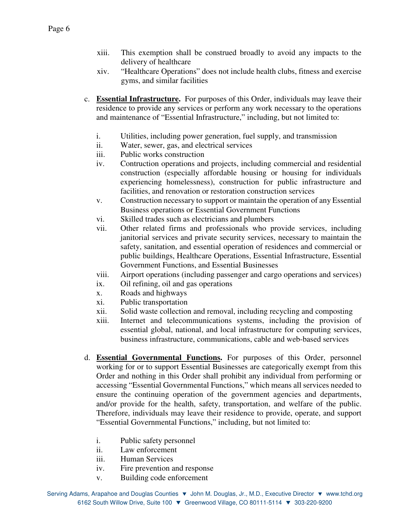- xiii. This exemption shall be construed broadly to avoid any impacts to the delivery of healthcare
- xiv. "Healthcare Operations" does not include health clubs, fitness and exercise gyms, and similar facilities
- c. **Essential Infrastructure.** For purposes of this Order, individuals may leave their residence to provide any services or perform any work necessary to the operations and maintenance of "Essential Infrastructure," including, but not limited to:
	- i. Utilities, including power generation, fuel supply, and transmission
	- ii. Water, sewer, gas, and electrical services
	- iii. Public works construction
	- iv. Contruction operations and projects, including commercial and residential construction (especially affordable housing or housing for individuals experiencing homelessness), construction for public infrastructure and facilities, and renovation or restoration construction services
	- v. Construction necessary to support or maintain the operation of any Essential Business operations or Essential Government Functions
	- vi. Skilled trades such as electricians and plumbers
	- vii. Other related firms and professionals who provide services, including janitorial services and private security services, necessary to maintain the safety, sanitation, and essential operation of residences and commercial or public buildings, Healthcare Operations, Essential Infrastructure, Essential Government Functions, and Essential Businesses
	- viii. Airport operations (including passenger and cargo operations and services)
	- ix. Oil refining, oil and gas operations
	- x. Roads and highways
	- xi. Public transportation
	- xii. Solid waste collection and removal, including recycling and composting
	- xiii. Internet and telecommunications systems, including the provision of essential global, national, and local infrastructure for computing services, business infrastructure, communications, cable and web-based services
- d. **Essential Governmental Functions.** For purposes of this Order, personnel working for or to support Essential Businesses are categorically exempt from this Order and nothing in this Order shall prohibit any individual from performing or accessing "Essential Governmental Functions," which means all services needed to ensure the continuing operation of the government agencies and departments, and/or provide for the health, safety, transportation, and welfare of the public. Therefore, individuals may leave their residence to provide, operate, and support "Essential Governmental Functions," including, but not limited to:
	- i. Public safety personnel
	- ii. Law enforcement
	- iii. Human Services
	- iv. Fire prevention and response
	- v. Building code enforcement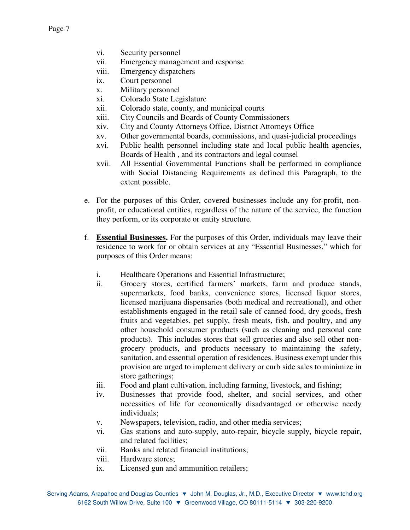- vi. Security personnel
- vii. Emergency management and response
- viii. Emergency dispatchers
- ix. Court personnel
- x. Military personnel
- xi. Colorado State Legislature
- xii. Colorado state, county, and municipal courts
- xiii. City Councils and Boards of County Commissioners
- xiv. City and County Attorneys Office, District Attorneys Office
- xv. Other governmental boards, commissions, and quasi-judicial proceedings
- xvi. Public health personnel including state and local public health agencies, Boards of Health , and its contractors and legal counsel
- xvii. All Essential Governmental Functions shall be performed in compliance with Social Distancing Requirements as defined this Paragraph, to the extent possible.
- e. For the purposes of this Order, covered businesses include any for-profit, nonprofit, or educational entities, regardless of the nature of the service, the function they perform, or its corporate or entity structure.
- f. **Essential Businesses.** For the purposes of this Order, individuals may leave their residence to work for or obtain services at any "Essential Businesses," which for purposes of this Order means:
	- i. Healthcare Operations and Essential Infrastructure;
	- ii. Grocery stores, certified farmers' markets, farm and produce stands, supermarkets, food banks, convenience stores, licensed liquor stores, licensed marijuana dispensaries (both medical and recreational), and other establishments engaged in the retail sale of canned food, dry goods, fresh fruits and vegetables, pet supply, fresh meats, fish, and poultry, and any other household consumer products (such as cleaning and personal care products). This includes stores that sell groceries and also sell other nongrocery products, and products necessary to maintaining the safety, sanitation, and essential operation of residences. Business exempt under this provision are urged to implement delivery or curb side sales to minimize in store gatherings;
	- iii. Food and plant cultivation, including farming, livestock, and fishing;
	- iv. Businesses that provide food, shelter, and social services, and other necessities of life for economically disadvantaged or otherwise needy individuals;
	- v. Newspapers, television, radio, and other media services;
	- vi. Gas stations and auto-supply, auto-repair, bicycle supply, bicycle repair, and related facilities;
	- vii. Banks and related financial institutions;
	- viii. Hardware stores;
	- ix. Licensed gun and ammunition retailers;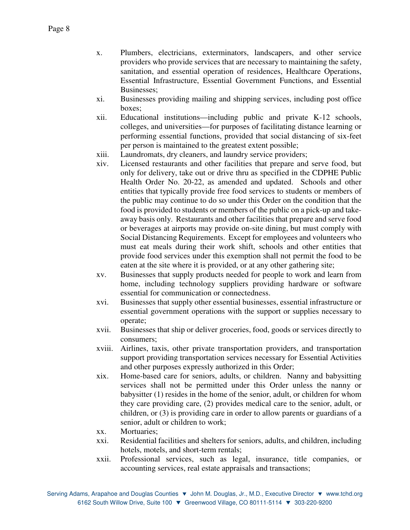- x. Plumbers, electricians, exterminators, landscapers, and other service providers who provide services that are necessary to maintaining the safety, sanitation, and essential operation of residences, Healthcare Operations, Essential Infrastructure, Essential Government Functions, and Essential Businesses;
- xi. Businesses providing mailing and shipping services, including post office boxes;
- xii. Educational institutions—including public and private K-12 schools, colleges, and universities—for purposes of facilitating distance learning or performing essential functions, provided that social distancing of six-feet per person is maintained to the greatest extent possible;
- xiii. Laundromats, dry cleaners, and laundry service providers;
- xiv. Licensed restaurants and other facilities that prepare and serve food, but only for delivery, take out or drive thru as specified in the CDPHE Public Health Order No. 20-22, as amended and updated. Schools and other entities that typically provide free food services to students or members of the public may continue to do so under this Order on the condition that the food is provided to students or members of the public on a pick-up and takeaway basis only. Restaurants and other facilities that prepare and serve food or beverages at airports may provide on-site dining, but must comply with Social Distancing Requirements. Except for employees and volunteers who must eat meals during their work shift, schools and other entities that provide food services under this exemption shall not permit the food to be eaten at the site where it is provided, or at any other gathering site;
- xv. Businesses that supply products needed for people to work and learn from home, including technology suppliers providing hardware or software essential for communication or connectedness.
- xvi. Businesses that supply other essential businesses, essential infrastructure or essential government operations with the support or supplies necessary to operate;
- xvii. Businesses that ship or deliver groceries, food, goods or services directly to consumers;
- xviii. Airlines, taxis, other private transportation providers, and transportation support providing transportation services necessary for Essential Activities and other purposes expressly authorized in this Order;
- xix. Home-based care for seniors, adults, or children. Nanny and babysitting services shall not be permitted under this Order unless the nanny or babysitter (1) resides in the home of the senior, adult, or children for whom they care providing care, (2) provides medical care to the senior, adult, or children, or (3) is providing care in order to allow parents or guardians of a senior, adult or children to work;
- xx. Mortuaries;
- xxi. Residential facilities and shelters for seniors, adults, and children, including hotels, motels, and short-term rentals;
- xxii. Professional services, such as legal, insurance, title companies, or accounting services, real estate appraisals and transactions;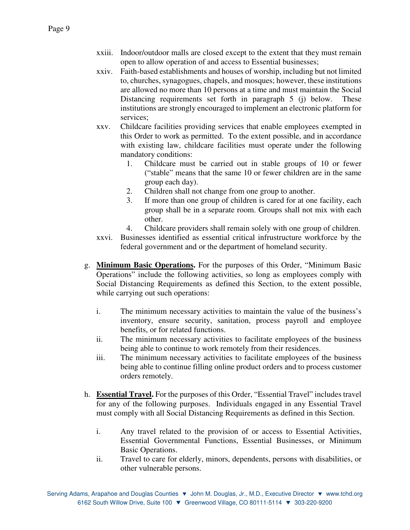- xxiii. Indoor/outdoor malls are closed except to the extent that they must remain open to allow operation of and access to Essential businesses;
- xxiv. Faith-based establishments and houses of worship, including but not limited to, churches, synagogues, chapels, and mosques; however, these institutions are allowed no more than 10 persons at a time and must maintain the Social Distancing requirements set forth in paragraph 5 (j) below. These institutions are strongly encouraged to implement an electronic platform for services;
- xxv. Childcare facilities providing services that enable employees exempted in this Order to work as permitted. To the extent possible, and in accordance with existing law, childcare facilities must operate under the following mandatory conditions:
	- 1. Childcare must be carried out in stable groups of 10 or fewer ("stable" means that the same 10 or fewer children are in the same group each day).
	- 2. Children shall not change from one group to another.
	- 3. If more than one group of children is cared for at one facility, each group shall be in a separate room. Groups shall not mix with each other.
	- 4. Childcare providers shall remain solely with one group of children.
- xxvi. Businesses identified as essential critical infrustructure workforce by the federal government and or the department of homeland security.
- g. **Minimum Basic Operations.** For the purposes of this Order, "Minimum Basic Operations" include the following activities, so long as employees comply with Social Distancing Requirements as defined this Section, to the extent possible, while carrying out such operations:
	- i. The minimum necessary activities to maintain the value of the business's inventory, ensure security, sanitation, process payroll and employee benefits, or for related functions.
	- ii. The minimum necessary activities to facilitate employees of the business being able to continue to work remotely from their residences.
	- iii. The minimum necessary activities to facilitate employees of the business being able to continue filling online product orders and to process customer orders remotely.
- h. **Essential Travel.** For the purposes of this Order, "Essential Travel" includes travel for any of the following purposes. Individuals engaged in any Essential Travel must comply with all Social Distancing Requirements as defined in this Section.
	- i. Any travel related to the provision of or access to Essential Activities, Essential Governmental Functions, Essential Businesses, or Minimum Basic Operations.
	- ii. Travel to care for elderly, minors, dependents, persons with disabilities, or other vulnerable persons.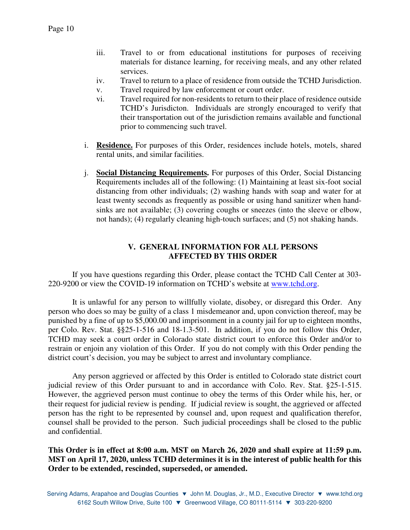- iii. Travel to or from educational institutions for purposes of receiving materials for distance learning, for receiving meals, and any other related services.
- iv. Travel to return to a place of residence from outside the TCHD Jurisdiction.
- v. Travel required by law enforcement or court order.
- vi. Travel required for non-residents to return to their place of residence outside TCHD's Jurisdicton. Individuals are strongly encouraged to verify that their transportation out of the jurisdiction remains available and functional prior to commencing such travel.
- i. **Residence.** For purposes of this Order, residences include hotels, motels, shared rental units, and similar facilities.
- j. **Social Distancing Requirements.** For purposes of this Order, Social Distancing Requirements includes all of the following: (1) Maintaining at least six-foot social distancing from other individuals; (2) washing hands with soap and water for at least twenty seconds as frequently as possible or using hand sanitizer when handsinks are not available; (3) covering coughs or sneezes (into the sleeve or elbow, not hands); (4) regularly cleaning high-touch surfaces; and (5) not shaking hands.

## **V. GENERAL INFORMATION FOR ALL PERSONS AFFECTED BY THIS ORDER**

If you have questions regarding this Order, please contact the TCHD Call Center at 303- 220-9200 or view the COVID-19 information on TCHD's website at www.tchd.org.

It is unlawful for any person to willfully violate, disobey, or disregard this Order. Any person who does so may be guilty of a class 1 misdemeanor and, upon conviction thereof, may be punished by a fine of up to \$5,000.00 and imprisonment in a county jail for up to eighteen months, per Colo. Rev. Stat. §§25-1-516 and 18-1.3-501. In addition, if you do not follow this Order, TCHD may seek a court order in Colorado state district court to enforce this Order and/or to restrain or enjoin any violation of this Order. If you do not comply with this Order pending the district court's decision, you may be subject to arrest and involuntary compliance.

Any person aggrieved or affected by this Order is entitled to Colorado state district court judicial review of this Order pursuant to and in accordance with Colo. Rev. Stat. §25-1-515. However, the aggrieved person must continue to obey the terms of this Order while his, her, or their request for judicial review is pending. If judicial review is sought, the aggrieved or affected person has the right to be represented by counsel and, upon request and qualification therefor, counsel shall be provided to the person. Such judicial proceedings shall be closed to the public and confidential.

**This Order is in effect at 8:00 a.m. MST on March 26, 2020 and shall expire at 11:59 p.m. MST on April 17, 2020, unless TCHD determines it is in the interest of public health for this Order to be extended, rescinded, superseded, or amended.**